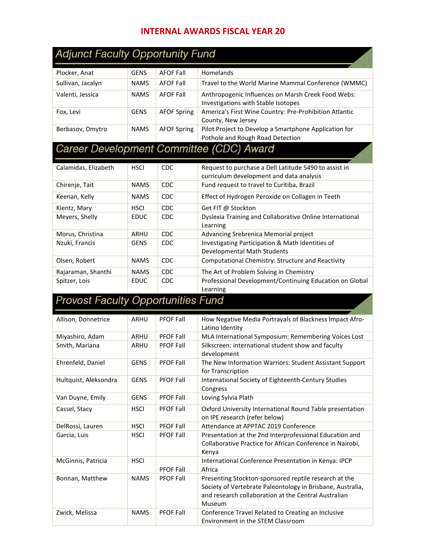## **INTERNAL AWARDS FISCAL YEAR 20**

| <b>Adjunct Faculty Opportunity Fund</b>   |             |                    |                                                                                                                                                                                       |
|-------------------------------------------|-------------|--------------------|---------------------------------------------------------------------------------------------------------------------------------------------------------------------------------------|
| Plocker, Anat                             | <b>GENS</b> | <b>AFOF Fall</b>   | Homelands                                                                                                                                                                             |
| Sullivan, Jacalyn                         | <b>NAMS</b> | <b>AFOF Fall</b>   | Travel to the World Marine Mammal Conference (WMMC)                                                                                                                                   |
| Valenti, Jessica                          | <b>NAMS</b> | <b>AFOF Fall</b>   | Anthropogenic Influences on Marsh Creek Food Webs:<br>Investigations with Stable Isotopes                                                                                             |
| Fox, Levi                                 | <b>GENS</b> | <b>AFOF Spring</b> | America's First Wine Country: Pre-Prohibition Atlantic<br>County, New Jersey                                                                                                          |
| Berbasov, Dmytro                          | <b>NAMS</b> | <b>AFOF Spring</b> | Pilot Project to Develop a Smartphone Application for<br>Pothole and Rough Road Detection                                                                                             |
|                                           |             |                    | Career Development Committee (CDC) Award                                                                                                                                              |
| Calamidas, Elizabeth                      | <b>HSCI</b> | CDC                | Request to purchase a Dell Latitude 5490 to assist in<br>curriculum development and data analysis                                                                                     |
| Chirenje, Tait                            | <b>NAMS</b> | <b>CDC</b>         | Fund request to travel to Curitiba, Brazil                                                                                                                                            |
| Keenan, Kelly                             | <b>NAMS</b> | CDC                | Effect of Hydrogen Peroxide on Collagen in Teeth                                                                                                                                      |
| Kientz, Mary                              | <b>HSCI</b> | <b>CDC</b>         | Get FIT @ Stockton                                                                                                                                                                    |
| Meyers, Shelly                            | <b>EDUC</b> | <b>CDC</b>         | Dyslexia Training and Collaborative Online International<br>Learning                                                                                                                  |
| Morus, Christina                          | ARHU        | <b>CDC</b>         | Advancing Srebrenica Memorial project                                                                                                                                                 |
| Nzuki, Francis                            | <b>GENS</b> | <b>CDC</b>         | Investigating Participation & Math Identities of                                                                                                                                      |
|                                           |             |                    | Developmental Math Students                                                                                                                                                           |
| Olsen, Robert                             | <b>NAMS</b> | CDC                | Computational Chemistry: Structure and Reactivity                                                                                                                                     |
| Rajaraman, Shanthi                        | <b>NAMS</b> | CDC                | The Art of Problem Solving in Chemistry                                                                                                                                               |
| Spitzer, Lois                             | <b>EDUC</b> | <b>CDC</b>         | Professional Development/Continuing Education on Global<br>Learning                                                                                                                   |
| <b>Provost Faculty Opportunities Fund</b> |             |                    |                                                                                                                                                                                       |
| Allison, Donnetrice                       | ARHU        | <b>PFOF Fall</b>   | How Negative Media Portrayals of Blackness Impact Afro-<br>Latino Identity                                                                                                            |
| Miyashiro, Adam                           | ARHU        | <b>PFOF Fall</b>   | MLA International Symposium: Remembering Voices Lost                                                                                                                                  |
| Smith, Mariana                            | <b>ARHU</b> | <b>PFOF Fall</b>   | Silkscreen: international student show and faculty<br>development                                                                                                                     |
| Ehrenfeld, Daniel                         | <b>GENS</b> | <b>PFOF Fall</b>   | The New Information Warriors: Student Assistant Support<br>for Transcription                                                                                                          |
| Hultquist, Aleksondra                     | <b>GENS</b> | PFOF Fall          | International Society of Eighteenth-Century Studies<br>Congress                                                                                                                       |
| Van Duyne, Emily                          | <b>GENS</b> | <b>PFOF Fall</b>   | Loving Sylvia Plath                                                                                                                                                                   |
| Cassel, Stacy                             | <b>HSCI</b> | <b>PFOF Fall</b>   | Oxford University International Round Table presentation<br>on IPE research (refer below)                                                                                             |
| DelRossi, Lauren                          | <b>HSCI</b> | <b>PFOF Fall</b>   | Attendance at APPTAC 2019 Conference                                                                                                                                                  |
| Garcia, Luis                              | <b>HSCI</b> | <b>PFOF Fall</b>   | Presentation at the 2nd Interprofessional Education and<br>Collaborative Practice for African Conference in Nairobi,<br>Kenya                                                         |
| McGinnis, Patricia                        | <b>HSCI</b> | <b>PFOF Fall</b>   | International Conference Presentation in Kenya: IPCP<br>Africa                                                                                                                        |
| Bonnan, Matthew                           | <b>NAMS</b> | PFOF Fall          | Presenting Stockton-sponsored reptile research at the<br>Society of Vertebrate Paleontology in Brisbane, Australia,<br>and research collaboration at the Central Australian<br>Museum |
| Zwick, Melissa                            | <b>NAMS</b> | PFOF Fall          | Conference Travel Related to Creating an Inclusive<br>Environment in the STEM Classroom                                                                                               |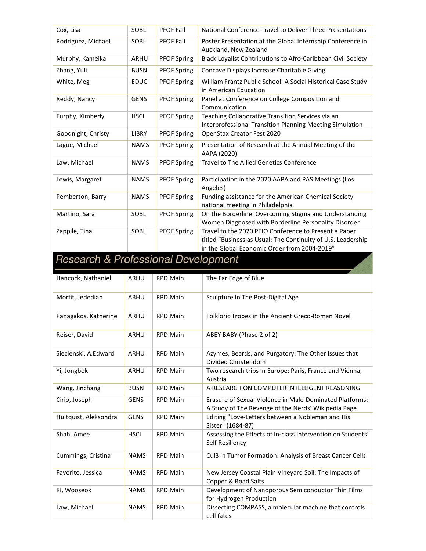| Cox, Lisa          | SOBL         | <b>PFOF Fall</b>   | National Conference Travel to Deliver Three Presentations                                                                                                             |
|--------------------|--------------|--------------------|-----------------------------------------------------------------------------------------------------------------------------------------------------------------------|
| Rodriguez, Michael | SOBL         | <b>PFOF Fall</b>   | Poster Presentation at the Global Internship Conference in<br>Auckland, New Zealand                                                                                   |
| Murphy, Kameika    | ARHU         | <b>PFOF Spring</b> | Black Loyalist Contributions to Afro-Caribbean Civil Society                                                                                                          |
| Zhang, Yuli        | <b>BUSN</b>  | <b>PFOF Spring</b> | Concave Displays Increase Charitable Giving                                                                                                                           |
| White, Meg         | <b>EDUC</b>  | <b>PFOF Spring</b> | William Frantz Public School: A Social Historical Case Study<br>in American Education                                                                                 |
| Reddy, Nancy       | <b>GENS</b>  | PFOF Spring        | Panel at Conference on College Composition and<br>Communication                                                                                                       |
| Furphy, Kimberly   | <b>HSCI</b>  | <b>PFOF Spring</b> | Teaching Collaborative Transition Services via an<br>Interprofessional Transition Planning Meeting Simulation                                                         |
| Goodnight, Christy | <b>LIBRY</b> | <b>PFOF Spring</b> | OpenStax Creator Fest 2020                                                                                                                                            |
| Lague, Michael     | <b>NAMS</b>  | <b>PFOF Spring</b> | Presentation of Research at the Annual Meeting of the<br>AAPA (2020)                                                                                                  |
| Law, Michael       | <b>NAMS</b>  | <b>PFOF Spring</b> | <b>Travel to The Allied Genetics Conference</b>                                                                                                                       |
| Lewis, Margaret    | <b>NAMS</b>  | <b>PFOF Spring</b> | Participation in the 2020 AAPA and PAS Meetings (Los<br>Angeles)                                                                                                      |
| Pemberton, Barry   | <b>NAMS</b>  | <b>PFOF Spring</b> | Funding assistance for the American Chemical Society<br>national meeting in Philadelphia                                                                              |
| Martino, Sara      | SOBL         | <b>PFOF Spring</b> | On the Borderline: Overcoming Stigma and Understanding<br>Women Diagnosed with Borderline Personality Disorder                                                        |
| Zappile, Tina      | SOBL         | <b>PFOF Spring</b> | Travel to the 2020 PEIO Conference to Present a Paper<br>titled "Business as Usual: The Continuity of U.S. Leadership<br>in the Global Economic Order from 2004-2019" |

## Research & Professional Development

| Hancock, Nathaniel    | <b>ARHU</b> | <b>RPD Main</b> | The Far Edge of Blue                                                                                           |
|-----------------------|-------------|-----------------|----------------------------------------------------------------------------------------------------------------|
| Morfit, Jedediah      | ARHU        | <b>RPD Main</b> | Sculpture In The Post-Digital Age                                                                              |
| Panagakos, Katherine  | ARHU        | <b>RPD Main</b> | Folkloric Tropes in the Ancient Greco-Roman Novel                                                              |
| Reiser, David         | <b>ARHU</b> | <b>RPD Main</b> | ABEY BABY (Phase 2 of 2)                                                                                       |
| Siecienski, A.Edward  | <b>ARHU</b> | <b>RPD Main</b> | Azymes, Beards, and Purgatory: The Other Issues that<br>Divided Christendom                                    |
| Yi, Jongbok           | ARHU        | <b>RPD Main</b> | Two research trips in Europe: Paris, France and Vienna,<br>Austria                                             |
| Wang, Jinchang        | <b>BUSN</b> | <b>RPD Main</b> | A RESEARCH ON COMPUTER INTELLIGENT REASONING                                                                   |
| Cirio, Joseph         | <b>GENS</b> | <b>RPD Main</b> | Erasure of Sexual Violence in Male-Dominated Platforms:<br>A Study of The Revenge of the Nerds' Wikipedia Page |
| Hultquist, Aleksondra | <b>GENS</b> | <b>RPD Main</b> | Editing "Love-Letters between a Nobleman and His<br>Sister" (1684-87)                                          |
| Shah, Amee            | <b>HSCI</b> | <b>RPD Main</b> | Assessing the Effects of In-class Intervention on Students'<br>Self Resiliency                                 |
| Cummings, Cristina    | <b>NAMS</b> | <b>RPD Main</b> | Cul3 in Tumor Formation: Analysis of Breast Cancer Cells                                                       |
| Favorito, Jessica     | <b>NAMS</b> | <b>RPD Main</b> | New Jersey Coastal Plain Vineyard Soil: The Impacts of<br>Copper & Road Salts                                  |
| Ki, Wooseok           | <b>NAMS</b> | <b>RPD Main</b> | Development of Nanoporous Semiconductor Thin Films<br>for Hydrogen Production                                  |
| Law, Michael          | <b>NAMS</b> | <b>RPD Main</b> | Dissecting COMPASS, a molecular machine that controls<br>cell fates                                            |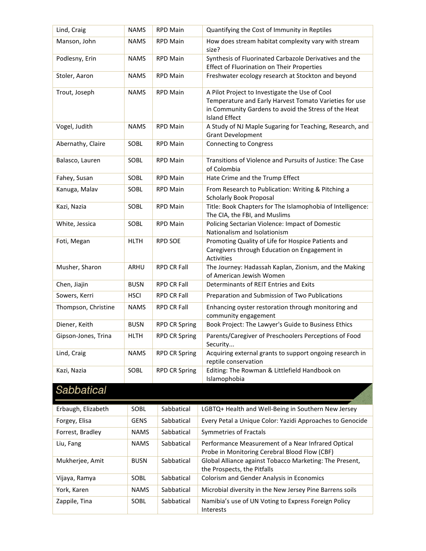| Lind, Craig         | <b>NAMS</b> | <b>RPD Main</b>      | Quantifying the Cost of Immunity in Reptiles                                                                                                                                             |
|---------------------|-------------|----------------------|------------------------------------------------------------------------------------------------------------------------------------------------------------------------------------------|
| Manson, John        | <b>NAMS</b> | <b>RPD Main</b>      | How does stream habitat complexity vary with stream<br>size?                                                                                                                             |
| Podlesny, Erin      | <b>NAMS</b> | <b>RPD Main</b>      | Synthesis of Fluorinated Carbazole Derivatives and the<br><b>Effect of Fluorination on Their Properties</b>                                                                              |
| Stoler, Aaron       | <b>NAMS</b> | <b>RPD Main</b>      | Freshwater ecology research at Stockton and beyond                                                                                                                                       |
| Trout, Joseph       | <b>NAMS</b> | <b>RPD Main</b>      | A Pilot Project to Investigate the Use of Cool<br>Temperature and Early Harvest Tomato Varieties for use<br>in Community Gardens to avoid the Stress of the Heat<br><b>Island Effect</b> |
| Vogel, Judith       | <b>NAMS</b> | <b>RPD Main</b>      | A Study of NJ Maple Sugaring for Teaching, Research, and<br><b>Grant Development</b>                                                                                                     |
| Abernathy, Claire   | SOBL        | <b>RPD Main</b>      | <b>Connecting to Congress</b>                                                                                                                                                            |
| Balasco, Lauren     | SOBL        | <b>RPD Main</b>      | Transitions of Violence and Pursuits of Justice: The Case<br>of Colombia                                                                                                                 |
| Fahey, Susan        | SOBL        | <b>RPD Main</b>      | Hate Crime and the Trump Effect                                                                                                                                                          |
| Kanuga, Malav       | SOBL        | <b>RPD Main</b>      | From Research to Publication: Writing & Pitching a<br><b>Scholarly Book Proposal</b>                                                                                                     |
| Kazi, Nazia         | SOBL        | <b>RPD Main</b>      | Title: Book Chapters for The Islamophobia of Intelligence:<br>The CIA, the FBI, and Muslims                                                                                              |
| White, Jessica      | SOBL        | <b>RPD Main</b>      | Policing Sectarian Violence: Impact of Domestic<br>Nationalism and Isolationism                                                                                                          |
| Foti, Megan         | <b>HLTH</b> | <b>RPD SOE</b>       | Promoting Quality of Life for Hospice Patients and<br>Caregivers through Education on Engagement in<br>Activities                                                                        |
| Musher, Sharon      | ARHU        | <b>RPD CR Fall</b>   | The Journey: Hadassah Kaplan, Zionism, and the Making<br>of American Jewish Women                                                                                                        |
| Chen, Jiajin        | <b>BUSN</b> | <b>RPD CR Fall</b>   | Determinants of REIT Entries and Exits                                                                                                                                                   |
| Sowers, Kerri       | <b>HSCI</b> | <b>RPD CR Fall</b>   | Preparation and Submission of Two Publications                                                                                                                                           |
| Thompson, Christine | <b>NAMS</b> | <b>RPD CR Fall</b>   | Enhancing oyster restoration through monitoring and<br>community engagement                                                                                                              |
| Diener, Keith       | <b>BUSN</b> | <b>RPD CR Spring</b> | Book Project: The Lawyer's Guide to Business Ethics                                                                                                                                      |
| Gipson-Jones, Trina | <b>HLTH</b> | <b>RPD CR Spring</b> | Parents/Caregiver of Preschoolers Perceptions of Food<br>Security                                                                                                                        |
| Lind, Craig         | <b>NAMS</b> | <b>RPD CR Spring</b> | Acquiring external grants to support ongoing research in<br>reptile conservation                                                                                                         |
| Kazi, Nazia         | SOBL        | <b>RPD CR Spring</b> | Editing: The Rowman & Littlefield Handbook on<br>Islamophobia                                                                                                                            |
| Sabbatical          |             |                      |                                                                                                                                                                                          |
| Erbaugh, Elizabeth  | SOBL        | Sabbatical           | LGBTQ+ Health and Well-Being in Southern New Jersey                                                                                                                                      |
| Forgey, Elisa       | <b>GENS</b> | Sabbatical           | Every Petal a Unique Color: Yazidi Approaches to Genocide                                                                                                                                |
| Forrest, Bradley    | <b>NAMS</b> | Sabbatical           | Symmetries of Fractals                                                                                                                                                                   |
| Liu, Fang           | <b>NAMS</b> | Sabbatical           | Performance Measurement of a Near Infrared Optical<br>Probe in Monitoring Cerebral Blood Flow (CBF)                                                                                      |
| Mukherjee, Amit     | <b>BUSN</b> | Sabbatical           | Global Alliance against Tobacco Marketing: The Present,<br>the Prospects, the Pitfalls                                                                                                   |
| Vijaya, Ramya       | SOBL        | Sabbatical           | Colorism and Gender Analysis in Economics                                                                                                                                                |
| York, Karen         | <b>NAMS</b> | Sabbatical           | Microbial diversity in the New Jersey Pine Barrens soils                                                                                                                                 |
| Zappile, Tina       | SOBL        | Sabbatical           | Namibia's use of UN Voting to Express Foreign Policy<br>Interests                                                                                                                        |